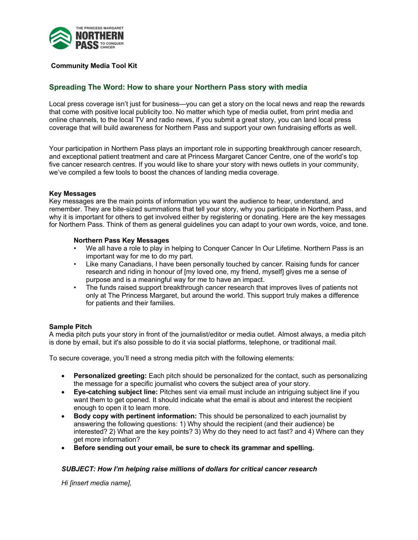

## **Community Media Tool Kit**

# **Spreading The Word: How to share your Northern Pass story with media**

Local press coverage isn't just for business—you can get a story on the local news and reap the rewards that come with positive local publicity too. No matter which type of media outlet, from print media and online channels, to the local TV and radio news, if you submit a great story, you can land local press coverage that will build awareness for Northern Pass and support your own fundraising efforts as well.

Your participation in Northern Pass plays an important role in supporting breakthrough cancer research, and exceptional patient treatment and care at Princess Margaret Cancer Centre, one of the world's top five cancer research centres. If you would like to share your story with news outlets in your community, we've compiled a few tools to boost the chances of landing media coverage.

#### **Key Messages**

Key messages are the main points of information you want the audience to hear, understand, and remember. They are bite-sized summations that tell your story, why you participate in Northern Pass, and why it is important for others to get involved either by registering or donating. Here are the key messages for Northern Pass. Think of them as general guidelines you can adapt to your own words, voice, and tone.

#### **Northern Pass Key Messages**

- We all have a role to play in helping to Conquer Cancer In Our Lifetime. Northern Pass is an important way for me to do my part.
- Like many Canadians, I have been personally touched by cancer. Raising funds for cancer research and riding in honour of [my loved one, my friend, myself] gives me a sense of purpose and is a meaningful way for me to have an impact.
- The funds raised support breakthrough cancer research that improves lives of patients not only at The Princess Margaret, but around the world. This support truly makes a difference for patients and their families.

### **Sample Pitch**

A media pitch puts your story in front of the journalist/editor or media outlet. Almost always, a media pitch is done by email, but it's also possible to do it via social platforms, telephone, or traditional mail.

To secure coverage, you'll need a strong media pitch with the following elements:

- **Personalized greeting:** Each pitch should be personalized for the contact, such as personalizing the message for a specific journalist who covers the subject area of your story.
- **Eye-catching subject line:** Pitches sent via email must include an intriguing subject line if you want them to get opened. It should indicate what the email is about and interest the recipient enough to open it to learn more.
- **Body copy with pertinent information:** This should be personalized to each journalist by answering the following questions: 1) Why should the recipient (and their audience) be interested? 2) What are the key points? 3) Why do they need to act fast? and 4) Where can they get more information?
- **Before sending out your email, be sure to check its grammar and spelling.**

### *SUBJECT: How I'm helping raise millions of dollars for critical cancer research*

*Hi [insert media name],*